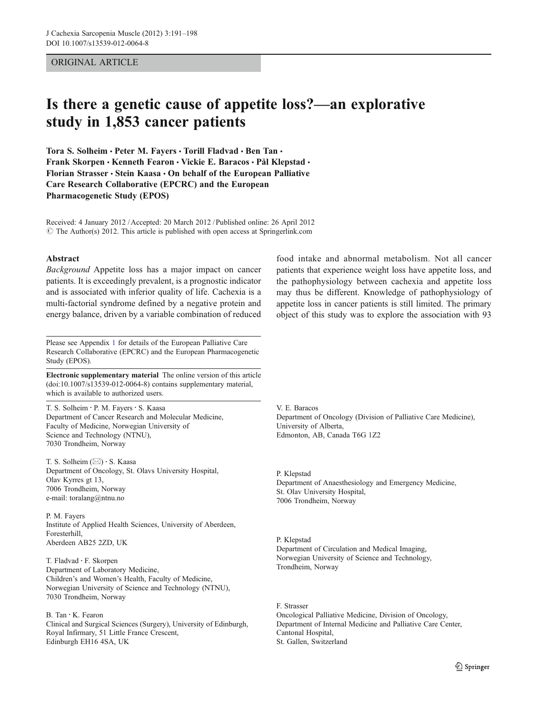# ORIGINAL ARTICLE

# Is there a genetic cause of appetite loss?—an explorative study in 1,853 cancer patients

Tora S. Solheim · Peter M. Fayers · Torill Fladvad · Ben Tan · Frank Skorpen • Kenneth Fearon • Vickie E. Baracos • Pål Klepstad • Florian Strasser • Stein Kaasa • On behalf of the European Palliative Care Research Collaborative (EPCRC) and the European Pharmacogenetic Study (EPOS)

Received: 4 January 2012 /Accepted: 20 March 2012 / Published online: 26 April 2012  $\odot$  The Author(s) 2012. This article is published with open access at Springerlink.com

#### Abstract

Background Appetite loss has a major impact on cancer patients. It is exceedingly prevalent, is a prognostic indicator and is associated with inferior quality of life. Cachexia is a multi-factorial syndrome defined by a negative protein and energy balance, driven by a variable combination of reduced

Please see Appendix [1](#page-5-0) for details of the European Palliative Care Research Collaborative (EPCRC) and the European Pharmacogenetic Study (EPOS).

Electronic supplementary material The online version of this article (doi:[10.1007/s13539-012-0064-8](http://dx.doi.org/10.1007/s13539-012-0064-8)) contains supplementary material, which is available to authorized users.

T. S. Solheim · P. M. Fayers · S. Kaasa Department of Cancer Research and Molecular Medicine, Faculty of Medicine, Norwegian University of Science and Technology (NTNU), 7030 Trondheim, Norway

T. S. Solheim  $(\boxtimes) \cdot$  S. Kaasa Department of Oncology, St. Olavs University Hospital, Olav Kyrres gt 13, 7006 Trondheim, Norway e-mail: toralang@ntnu.no

P. M. Fayers Institute of Applied Health Sciences, University of Aberdeen, Foresterhill, Aberdeen AB25 2ZD, UK

T. Fladvad : F. Skorpen Department of Laboratory Medicine, Children's and Women's Health, Faculty of Medicine, Norwegian University of Science and Technology (NTNU), 7030 Trondheim, Norway

B. Tan : K. Fearon Clinical and Surgical Sciences (Surgery), University of Edinburgh, Royal Infirmary, 51 Little France Crescent, Edinburgh EH16 4SA, UK

food intake and abnormal metabolism. Not all cancer patients that experience weight loss have appetite loss, and the pathophysiology between cachexia and appetite loss may thus be different. Knowledge of pathophysiology of appetite loss in cancer patients is still limited. The primary object of this study was to explore the association with 93

V. E. Baracos Department of Oncology (Division of Palliative Care Medicine), University of Alberta, Edmonton, AB, Canada T6G 1Z2

P. Klepstad Department of Anaesthesiology and Emergency Medicine, St. Olav University Hospital, 7006 Trondheim, Norway

P. Klepstad Department of Circulation and Medical Imaging, Norwegian University of Science and Technology, Trondheim, Norway

F. Strasser Oncological Palliative Medicine, Division of Oncology, Department of Internal Medicine and Palliative Care Center, Cantonal Hospital, St. Gallen, Switzerland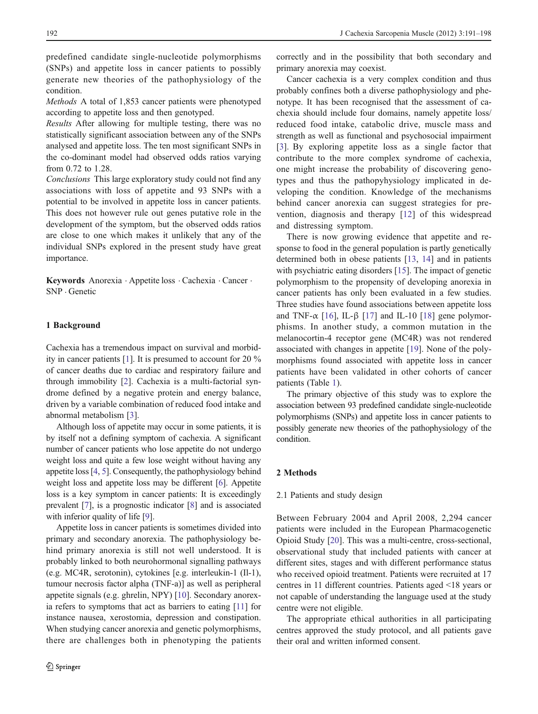predefined candidate single-nucleotide polymorphisms (SNPs) and appetite loss in cancer patients to possibly generate new theories of the pathophysiology of the condition.

Methods A total of 1,853 cancer patients were phenotyped according to appetite loss and then genotyped.

Results After allowing for multiple testing, there was no statistically significant association between any of the SNPs analysed and appetite loss. The ten most significant SNPs in the co-dominant model had observed odds ratios varying from 0.72 to 1.28.

Conclusions This large exploratory study could not find any associations with loss of appetite and 93 SNPs with a potential to be involved in appetite loss in cancer patients. This does not however rule out genes putative role in the development of the symptom, but the observed odds ratios are close to one which makes it unlikely that any of the individual SNPs explored in the present study have great importance.

Keywords Anorexia . Appetite loss . Cachexia . Cancer . SNP . Genetic

# 1 Background

Cachexia has a tremendous impact on survival and morbidity in cancer patients [[1\]](#page-6-0). It is presumed to account for 20 % of cancer deaths due to cardiac and respiratory failure and through immobility [\[2](#page-6-0)]. Cachexia is a multi-factorial syndrome defined by a negative protein and energy balance, driven by a variable combination of reduced food intake and abnormal metabolism [[3\]](#page-6-0).

Although loss of appetite may occur in some patients, it is by itself not a defining symptom of cachexia. A significant number of cancer patients who lose appetite do not undergo weight loss and quite a few lose weight without having any appetite loss [\[4](#page-6-0), [5\]](#page-6-0). Consequently, the pathophysiology behind weight loss and appetite loss may be different [[6\]](#page-6-0). Appetite loss is a key symptom in cancer patients: It is exceedingly prevalent [\[7](#page-6-0)], is a prognostic indicator [\[8](#page-6-0)] and is associated with inferior quality of life [[9\]](#page-6-0).

Appetite loss in cancer patients is sometimes divided into primary and secondary anorexia. The pathophysiology behind primary anorexia is still not well understood. It is probably linked to both neurohormonal signalling pathways (e.g. MC4R, serotonin), cytokines [e.g. interleukin-1 (Il-1), tumour necrosis factor alpha (TNF-a)] as well as peripheral appetite signals (e.g. ghrelin, NPY) [\[10](#page-6-0)]. Secondary anorexia refers to symptoms that act as barriers to eating [\[11](#page-6-0)] for instance nausea, xerostomia, depression and constipation. When studying cancer anorexia and genetic polymorphisms, there are challenges both in phenotyping the patients correctly and in the possibility that both secondary and primary anorexia may coexist.

Cancer cachexia is a very complex condition and thus probably confines both a diverse pathophysiology and phenotype. It has been recognised that the assessment of cachexia should include four domains, namely appetite loss/ reduced food intake, catabolic drive, muscle mass and strength as well as functional and psychosocial impairment [\[3](#page-6-0)]. By exploring appetite loss as a single factor that contribute to the more complex syndrome of cachexia, one might increase the probability of discovering genotypes and thus the pathopyhysiology implicated in developing the condition. Knowledge of the mechanisms behind cancer anorexia can suggest strategies for prevention, diagnosis and therapy [\[12\]](#page-6-0) of this widespread and distressing symptom.

There is now growing evidence that appetite and response to food in the general population is partly genetically determined both in obese patients [[13,](#page-6-0) [14](#page-6-0)] and in patients with psychiatric eating disorders [\[15](#page-6-0)]. The impact of genetic polymorphism to the propensity of developing anorexia in cancer patients has only been evaluated in a few studies. Three studies have found associations between appetite loss and TNF- $\alpha$  [\[16](#page-6-0)], IL-β [[17](#page-6-0)] and IL-10 [\[18](#page-6-0)] gene polymorphisms. In another study, a common mutation in the melanocortin-4 receptor gene (MC4R) was not rendered associated with changes in appetite [[19\]](#page-6-0). None of the polymorphisms found associated with appetite loss in cancer patients have been validated in other cohorts of cancer patients (Table [1\)](#page-2-0).

The primary objective of this study was to explore the association between 93 predefined candidate single-nucleotide polymorphisms (SNPs) and appetite loss in cancer patients to possibly generate new theories of the pathophysiology of the condition.

# 2 Methods

#### 2.1 Patients and study design

Between February 2004 and April 2008, 2,294 cancer patients were included in the European Pharmacogenetic Opioid Study [[20\]](#page-6-0). This was a multi-centre, cross-sectional, observational study that included patients with cancer at different sites, stages and with different performance status who received opioid treatment. Patients were recruited at 17 centres in 11 different countries. Patients aged <18 years or not capable of understanding the language used at the study centre were not eligible.

The appropriate ethical authorities in all participating centres approved the study protocol, and all patients gave their oral and written informed consent.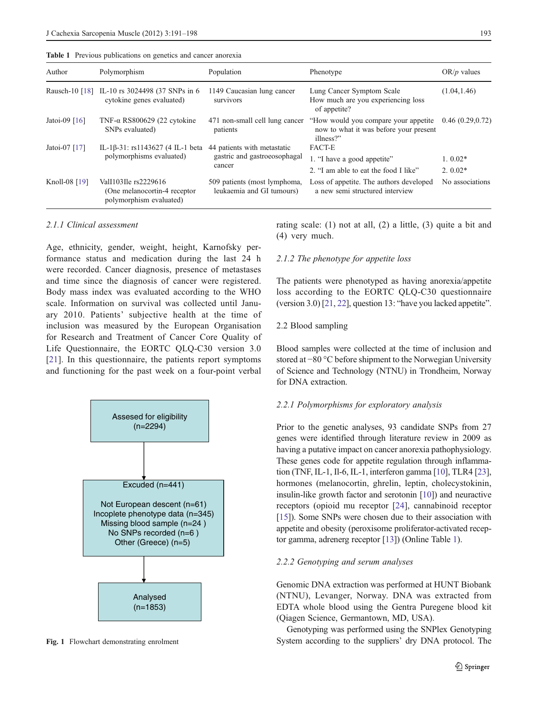<span id="page-2-0"></span>

|  | Table 1 Previous publications on genetics and cancer anorexia |  |  |  |
|--|---------------------------------------------------------------|--|--|--|
|  |                                                               |  |  |  |

| Author        | Polymorphism                                                                     | Population                                                | Phenotype                                                                                    | $OR/p$ values    |
|---------------|----------------------------------------------------------------------------------|-----------------------------------------------------------|----------------------------------------------------------------------------------------------|------------------|
|               | Rausch-10 [18] IL-10 rs 3024498 (37 SNPs in 6<br>cytokine genes evaluated)       | 1149 Caucasian lung cancer<br>survivors                   | Lung Cancer Symptom Scale<br>How much are you experiencing loss<br>of appetite?              | (1.04, 1.46)     |
| Jatoi-09 [16] | TNF- $\alpha$ RS800629 (22 cytokine)<br>SNPs evaluated)                          | 471 non-small cell lung cancer<br>patients                | "How would you compare your appetite"<br>now to what it was before your present<br>illness?" | 0.46(0.29, 0.72) |
| Jatoi-07 [17] | IL-1 $\beta$ -31: rs1143627 (4 IL-1 beta<br>polymorphisms evaluated)             | 44 patients with metastatic                               | FACT-E                                                                                       |                  |
|               |                                                                                  | gastric and gastroeosophagal                              | 1. "I have a good appetite"                                                                  | $1.0.02*$        |
|               |                                                                                  | cancer                                                    | 2. "I am able to eat the food I like"                                                        | $2.0.02*$        |
| Knoll-08 [19] | ValI103Ile rs2229616<br>(One melanocortin-4 receptor)<br>polymorphism evaluated) | 509 patients (most lymphoma,<br>leukaemia and GI tumours) | Loss of appetite. The authors developed<br>a new semi structured interview                   | No associations  |

#### 2.1.1 Clinical assessment

Age, ethnicity, gender, weight, height, Karnofsky performance status and medication during the last 24 h were recorded. Cancer diagnosis, presence of metastases and time since the diagnosis of cancer were registered. Body mass index was evaluated according to the WHO scale. Information on survival was collected until January 2010. Patients' subjective health at the time of inclusion was measured by the European Organisation for Research and Treatment of Cancer Core Quality of Life Questionnaire, the EORTC QLQ-C30 version 3.0 [\[21\]](#page-6-0). In this questionnaire, the patients report symptoms and functioning for the past week on a four-point verbal



Fig. 1 Flowchart demonstrating enrolment

rating scale: (1) not at all, (2) a little, (3) quite a bit and (4) very much.

## 2.1.2 The phenotype for appetite loss

The patients were phenotyped as having anorexia/appetite loss according to the EORTC QLQ-C30 questionnaire (version 3.0) [[21](#page-6-0), [22](#page-6-0)], question 13: "have you lacked appetite".

# 2.2 Blood sampling

Blood samples were collected at the time of inclusion and stored at −80 °C before shipment to the Norwegian University of Science and Technology (NTNU) in Trondheim, Norway for DNA extraction.

# 2.2.1 Polymorphisms for exploratory analysis

Prior to the genetic analyses, 93 candidate SNPs from 27 genes were identified through literature review in 2009 as having a putative impact on cancer anorexia pathophysiology. These genes code for appetite regulation through inflammation (TNF, IL-1, Il-6, IL-1, interferon gamma [\[10\]](#page-6-0), TLR4 [[23\]](#page-6-0), hormones (melanocortin, ghrelin, leptin, cholecystokinin, insulin-like growth factor and serotonin [[10\]](#page-6-0)) and neuractive receptors (opioid mu receptor [[24\]](#page-7-0), cannabinoid receptor [\[15](#page-6-0)]). Some SNPs were chosen due to their association with appetite and obesity (peroxisome proliferator-activated receptor gamma, adrenerg receptor [[13](#page-6-0)]) (Online Table 1).

#### 2.2.2 Genotyping and serum analyses

Genomic DNA extraction was performed at HUNT Biobank (NTNU), Levanger, Norway. DNA was extracted from EDTA whole blood using the Gentra Puregene blood kit (Qiagen Science, Germantown, MD, USA).

Genotyping was performed using the SNPlex Genotyping System according to the suppliers' dry DNA protocol. The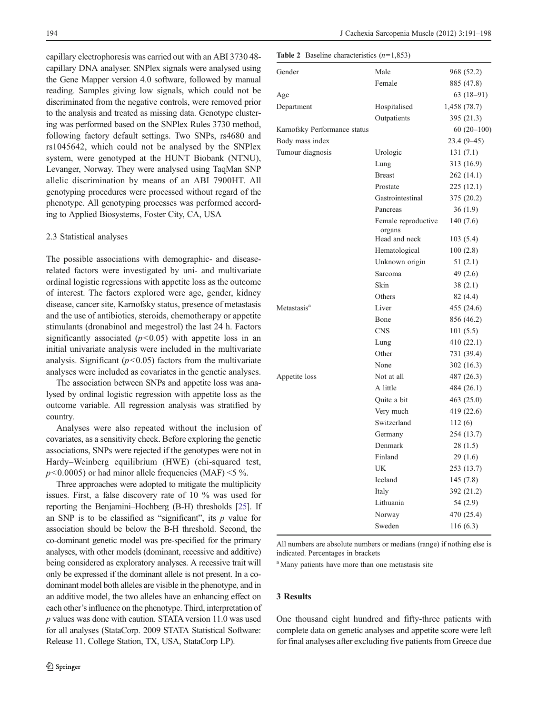<span id="page-3-0"></span>capillary electrophoresis was carried out with an ABI 3730 48 capillary DNA analyser. SNPlex signals were analysed using the Gene Mapper version 4.0 software, followed by manual reading. Samples giving low signals, which could not be discriminated from the negative controls, were removed prior to the analysis and treated as missing data. Genotype clustering was performed based on the SNPlex Rules 3730 method, following factory default settings. Two SNPs, rs4680 and rs1045642, which could not be analysed by the SNPlex system, were genotyped at the HUNT Biobank (NTNU), Levanger, Norway. They were analysed using TaqMan SNP allelic discrimination by means of an ABI 7900HT. All genotyping procedures were processed without regard of the phenotype. All genotyping processes was performed according to Applied Biosystems, Foster City, CA, USA

## 2.3 Statistical analyses

The possible associations with demographic- and diseaserelated factors were investigated by uni- and multivariate ordinal logistic regressions with appetite loss as the outcome of interest. The factors explored were age, gender, kidney disease, cancer site, Karnofsky status, presence of metastasis and the use of antibiotics, steroids, chemotherapy or appetite stimulants (dronabinol and megestrol) the last 24 h. Factors significantly associated  $(p<0.05)$  with appetite loss in an initial univariate analysis were included in the multivariate analysis. Significant  $(p<0.05)$  factors from the multivariate analyses were included as covariates in the genetic analyses.

The association between SNPs and appetite loss was analysed by ordinal logistic regression with appetite loss as the outcome variable. All regression analysis was stratified by country.

Analyses were also repeated without the inclusion of covariates, as a sensitivity check. Before exploring the genetic associations, SNPs were rejected if the genotypes were not in Hardy–Weinberg equilibrium (HWE) (chi-squared test,  $p$ <0.0005) or had minor allele frequencies (MAF) <5 %.

Three approaches were adopted to mitigate the multiplicity issues. First, a false discovery rate of 10 % was used for reporting the Benjamini–Hochberg (B-H) thresholds [[25](#page-7-0)]. If an SNP is to be classified as "significant", its  $p$  value for association should be below the B-H threshold. Second, the co-dominant genetic model was pre-specified for the primary analyses, with other models (dominant, recessive and additive) being considered as exploratory analyses. A recessive trait will only be expressed if the dominant allele is not present. In a codominant model both alleles are visible in the phenotype, and in an additive model, the two alleles have an enhancing effect on each other's influence on the phenotype. Third, interpretation of p values was done with caution. STATA version 11.0 was used for all analyses (StataCorp. 2009 STATA Statistical Software: Release 11. College Station, TX, USA, StataCorp LP).

**Table 2** Baseline characteristics  $(n=1,853)$ 

| Gender                       | Male                          | 968 (52.2)   |
|------------------------------|-------------------------------|--------------|
|                              | Female                        | 885 (47.8)   |
| Age                          |                               | $63(18-91)$  |
| Department                   | Hospitalised                  | 1,458 (78.7) |
|                              | Outpatients                   | 395(21.3)    |
| Karnofsky Performance status |                               | $60(20-100)$ |
| Body mass index              |                               | $23.4(9-45)$ |
| Tumour diagnosis             | Urologic                      | 131(7.1)     |
|                              | Lung                          | 313 (16.9)   |
|                              | <b>Breast</b>                 | 262 (14.1)   |
|                              | Prostate                      | 225(12.1)    |
|                              | Gastrointestinal              | 375 (20.2)   |
|                              | Pancreas                      | 36(1.9)      |
|                              | Female reproductive<br>organs | 140 (7.6)    |
|                              | Head and neck                 | 103(5.4)     |
|                              | Hematological                 | 100(2.8)     |
|                              | Unknown origin                | 51(2.1)      |
|                              | Sarcoma                       | 49 $(2.6)$   |
|                              | Skin                          | 38(2.1)      |
|                              | Others                        | 82(4.4)      |
| Metastasis <sup>a</sup>      | Liver                         | 455 (24.6)   |
|                              | Bone                          | 856 (46.2)   |
|                              | <b>CNS</b>                    | 101(5.5)     |
|                              | Lung                          | 410 (22.1)   |
|                              | Other                         | 731 (39.4)   |
|                              | None                          | 302 (16.3)   |
| Appetite loss                | Not at all                    | 487 (26.3)   |
|                              | A little                      | 484 (26.1)   |
|                              | Quite a bit                   | 463 (25.0)   |
|                              | Very much                     | 419 (22.6)   |
|                              | Switzerland                   | 112(6)       |
|                              | Germany                       | 254 (13.7)   |
|                              | Denmark                       | 28(1.5)      |
|                              | Finland                       | 29(1.6)      |
|                              | UK                            | 253 (13.7)   |
|                              | Iceland                       | 145(7.8)     |
|                              | Italy                         | 392 (21.2)   |
|                              | Lithuania                     | 54(2.9)      |
|                              | Norway                        | 470 (25.4)   |
|                              | Sweden                        | 116(6.3)     |
|                              |                               |              |

All numbers are absolute numbers or medians (range) if nothing else is indicated. Percentages in brackets

<sup>a</sup> Many patients have more than one metastasis site

# 3 Results

One thousand eight hundred and fifty-three patients with complete data on genetic analyses and appetite score were left for final analyses after excluding five patients from Greece due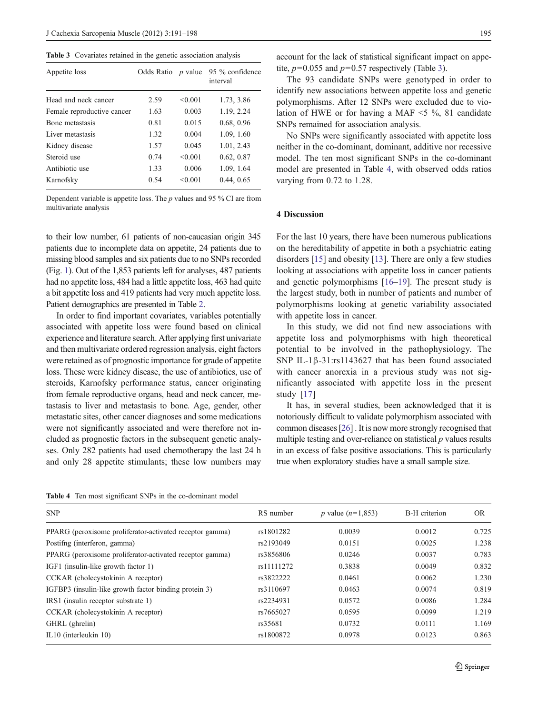Table 3 Covariates retained in the genetic association analysis

| Appetite loss              |      |         | Odds Ratio $p$ value 95 % confidence<br>interval |
|----------------------------|------|---------|--------------------------------------------------|
| Head and neck cancer       | 2.59 | < 0.001 | 1.73, 3.86                                       |
| Female reproductive cancer | 1.63 | 0.003   | 1.19, 2.24                                       |
| Bone metastasis            | 0.81 | 0.015   | 0.68, 0.96                                       |
| Liver metastasis           | 1.32 | 0.004   | 1.09, 1.60                                       |
| Kidney disease             | 1.57 | 0.045   | 1.01, 2.43                                       |
| Steroid use                | 0.74 | < 0.001 | 0.62, 0.87                                       |
| Antibiotic use             | 1.33 | 0.006   | 1.09, 1.64                                       |
| Karnofsky                  | 0.54 | < 0.001 | 0.44, 0.65                                       |

Dependent variable is appetite loss. The  $p$  values and 95 % CI are from multivariate analysis

to their low number, 61 patients of non-caucasian origin 345 patients due to incomplete data on appetite, 24 patients due to missing blood samples and six patients due to no SNPs recorded (Fig. [1\)](#page-2-0). Out of the 1,853 patients left for analyses, 487 patients had no appetite loss, 484 had a little appetite loss, 463 had quite a bit appetite loss and 419 patients had very much appetite loss. Patient demographics are presented in Table [2](#page-3-0).

In order to find important covariates, variables potentially associated with appetite loss were found based on clinical experience and literature search. After applying first univariate and then multivariate ordered regression analysis, eight factors were retained as of prognostic importance for grade of appetite loss. These were kidney disease, the use of antibiotics, use of steroids, Karnofsky performance status, cancer originating from female reproductive organs, head and neck cancer, metastasis to liver and metastasis to bone. Age, gender, other metastatic sites, other cancer diagnoses and some medications were not significantly associated and were therefore not included as prognostic factors in the subsequent genetic analyses. Only 282 patients had used chemotherapy the last 24 h and only 28 appetite stimulants; these low numbers may

Table 4 Ten most significant SNPs in the co-dominant model

account for the lack of statistical significant impact on appetite,  $p=0.055$  and  $p=0.57$  respectively (Table 3).

The 93 candidate SNPs were genotyped in order to identify new associations between appetite loss and genetic polymorphisms. After 12 SNPs were excluded due to violation of HWE or for having a MAF  $\leq$  5 %, 81 candidate SNPs remained for association analysis.

No SNPs were significantly associated with appetite loss neither in the co-dominant, dominant, additive nor recessive model. The ten most significant SNPs in the co-dominant model are presented in Table 4, with observed odds ratios varying from 0.72 to 1.28.

# 4 Discussion

For the last 10 years, there have been numerous publications on the hereditability of appetite in both a psychiatric eating disorders [[15\]](#page-6-0) and obesity [[13\]](#page-6-0). There are only a few studies looking at associations with appetite loss in cancer patients and genetic polymorphisms [[16](#page-6-0)–[19\]](#page-6-0). The present study is the largest study, both in number of patients and number of polymorphisms looking at genetic variability associated with appetite loss in cancer.

In this study, we did not find new associations with appetite loss and polymorphisms with high theoretical potential to be involved in the pathophysiology. The SNP IL-1β-31:rs1143627 that has been found associated with cancer anorexia in a previous study was not significantly associated with appetite loss in the present study [[17](#page-6-0)]

It has, in several studies, been acknowledged that it is notoriously difficult to validate polymorphism associated with common diseases [\[26\]](#page-7-0) . It is now more strongly recognised that multiple testing and over-reliance on statistical  $p$  values results in an excess of false positive associations. This is particularly true when exploratory studies have a small sample size.

| <b>SNP</b>                                               | RS number  | <i>p</i> value $(n=1,853)$ | <b>B-H</b> criterion | OR.   |
|----------------------------------------------------------|------------|----------------------------|----------------------|-------|
| PPARG (peroxisome proliferator-activated receptor gamma) | rs1801282  | 0.0039                     | 0.0012               | 0.725 |
| Postifing (interferon, gamma)                            | rs2193049  | 0.0151                     | 0.0025               | 1.238 |
| PPARG (peroxisome proliferator-activated receptor gamma) | rs3856806  | 0.0246                     | 0.0037               | 0.783 |
| IGF1 (insulin-like growth factor 1)                      | rs11111272 | 0.3838                     | 0.0049               | 0.832 |
| CCKAR (cholecystokinin A receptor)                       | rs3822222  | 0.0461                     | 0.0062               | 1.230 |
| IGFBP3 (insulin-like growth factor binding protein 3)    | rs3110697  | 0.0463                     | 0.0074               | 0.819 |
| IRS1 (insulin receptor substrate 1)                      | rs2234931  | 0.0572                     | 0.0086               | 1.284 |
| CCKAR (cholecystokinin A receptor)                       | rs7665027  | 0.0595                     | 0.0099               | 1.219 |
| GHRL (ghrelin)                                           | rs35681    | 0.0732                     | 0.0111               | 1.169 |
| IL10 (interleukin $10$ )                                 | rs1800872  | 0.0978                     | 0.0123               | 0.863 |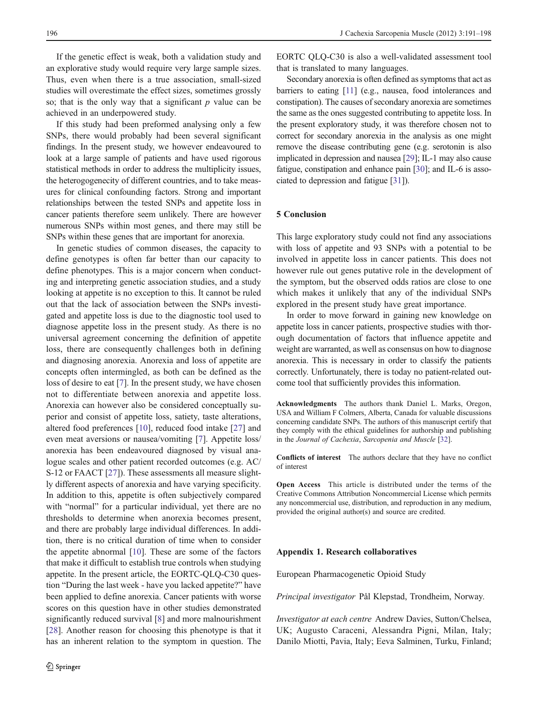<span id="page-5-0"></span>If the genetic effect is weak, both a validation study and an explorative study would require very large sample sizes. Thus, even when there is a true association, small-sized studies will overestimate the effect sizes, sometimes grossly so; that is the only way that a significant  $p$  value can be achieved in an underpowered study.

If this study had been preformed analysing only a few SNPs, there would probably had been several significant findings. In the present study, we however endeavoured to look at a large sample of patients and have used rigorous statistical methods in order to address the multiplicity issues, the heterogogenecity of different countries, and to take measures for clinical confounding factors. Strong and important relationships between the tested SNPs and appetite loss in cancer patients therefore seem unlikely. There are however numerous SNPs within most genes, and there may still be SNPs within these genes that are important for anorexia.

In genetic studies of common diseases, the capacity to define genotypes is often far better than our capacity to define phenotypes. This is a major concern when conducting and interpreting genetic association studies, and a study looking at appetite is no exception to this. It cannot be ruled out that the lack of association between the SNPs investigated and appetite loss is due to the diagnostic tool used to diagnose appetite loss in the present study. As there is no universal agreement concerning the definition of appetite loss, there are consequently challenges both in defining and diagnosing anorexia. Anorexia and loss of appetite are concepts often intermingled, as both can be defined as the loss of desire to eat [\[7](#page-6-0)]. In the present study, we have chosen not to differentiate between anorexia and appetite loss. Anorexia can however also be considered conceptually superior and consist of appetite loss, satiety, taste alterations, altered food preferences [[10\]](#page-6-0), reduced food intake [[27](#page-7-0)] and even meat aversions or nausea/vomiting [[7\]](#page-6-0). Appetite loss/ anorexia has been endeavoured diagnosed by visual analogue scales and other patient recorded outcomes (e.g. AC/ S-12 or FAACT [[27\]](#page-7-0)). These assessments all measure slightly different aspects of anorexia and have varying specificity. In addition to this, appetite is often subjectively compared with "normal" for a particular individual, yet there are no thresholds to determine when anorexia becomes present, and there are probably large individual differences. In addition, there is no critical duration of time when to consider the appetite abnormal [[10\]](#page-6-0). These are some of the factors that make it difficult to establish true controls when studying appetite. In the present article, the EORTC-QLQ-C30 question "During the last week - have you lacked appetite?" have been applied to define anorexia. Cancer patients with worse scores on this question have in other studies demonstrated significantly reduced survival [\[8](#page-6-0)] and more malnourishment [\[28](#page-7-0)]. Another reason for choosing this phenotype is that it has an inherent relation to the symptom in question. The EORTC QLQ-C30 is also a well-validated assessment tool that is translated to many languages.

Secondary anorexia is often defined as symptoms that act as barriers to eating [[11](#page-6-0)] (e.g., nausea, food intolerances and constipation). The causes of secondary anorexia are sometimes the same as the ones suggested contributing to appetite loss. In the present exploratory study, it was therefore chosen not to correct for secondary anorexia in the analysis as one might remove the disease contributing gene (e.g. serotonin is also implicated in depression and nausea [\[29\]](#page-7-0); IL-1 may also cause fatigue, constipation and enhance pain [[30](#page-7-0)]; and IL-6 is associated to depression and fatigue [\[31\]](#page-7-0)).

#### 5 Conclusion

This large exploratory study could not find any associations with loss of appetite and 93 SNPs with a potential to be involved in appetite loss in cancer patients. This does not however rule out genes putative role in the development of the symptom, but the observed odds ratios are close to one which makes it unlikely that any of the individual SNPs explored in the present study have great importance.

In order to move forward in gaining new knowledge on appetite loss in cancer patients, prospective studies with thorough documentation of factors that influence appetite and weight are warranted, as well as consensus on how to diagnose anorexia. This is necessary in order to classify the patients correctly. Unfortunately, there is today no patient-related outcome tool that sufficiently provides this information.

Acknowledgments The authors thank Daniel L. Marks, Oregon, USA and William F Colmers, Alberta, Canada for valuable discussions concerning candidate SNPs. The authors of this manuscript certify that they comply with the ethical guidelines for authorship and publishing in the Journal of Cachexia, Sarcopenia and Muscle [[32](#page-7-0)].

Conflicts of interest The authors declare that they have no conflict of interest

Open Access This article is distributed under the terms of the Creative Commons Attribution Noncommercial License which permits any noncommercial use, distribution, and reproduction in any medium, provided the original author(s) and source are credited.

#### Appendix 1. Research collaboratives

European Pharmacogenetic Opioid Study

Principal investigator Pål Klepstad, Trondheim, Norway.

Investigator at each centre Andrew Davies, Sutton/Chelsea, UK; Augusto Caraceni, Alessandra Pigni, Milan, Italy; Danilo Miotti, Pavia, Italy; Eeva Salminen, Turku, Finland;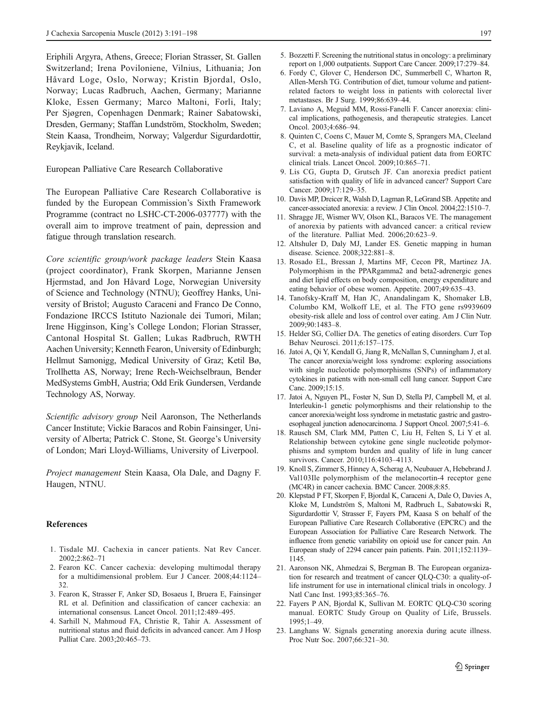<span id="page-6-0"></span>Eriphili Argyra, Athens, Greece; Florian Strasser, St. Gallen Switzerland; Irena Poviloniene, Vilnius, Lithuania; Jon Håvard Loge, Oslo, Norway; Kristin Bjordal, Oslo, Norway; Lucas Radbruch, Aachen, Germany; Marianne Kloke, Essen Germany; Marco Maltoni, Forli, Italy; Per Sjøgren, Copenhagen Denmark; Rainer Sabatowski, Dresden, Germany; Staffan Lundström, Stockholm, Sweden; Stein Kaasa, Trondheim, Norway; Valgerdur Sigurdardottir, Reykjavik, Iceland.

European Palliative Care Research Collaborative

The European Palliative Care Research Collaborative is funded by the European Commission's Sixth Framework Programme (contract no LSHC-CT-2006-037777) with the overall aim to improve treatment of pain, depression and fatigue through translation research.

Core scientific group/work package leaders Stein Kaasa (project coordinator), Frank Skorpen, Marianne Jensen Hjermstad, and Jon Håvard Loge, Norwegian University of Science and Technology (NTNU); Geoffrey Hanks, University of Bristol; Augusto Caraceni and Franco De Conno, Fondazione IRCCS Istituto Nazionale dei Tumori, Milan; Irene Higginson, King's College London; Florian Strasser, Cantonal Hospital St. Gallen; Lukas Radbruch, RWTH Aachen University; Kenneth Fearon, University of Edinburgh; Hellmut Samonigg, Medical University of Graz; Ketil Bø, Trollhetta AS, Norway; Irene Rech-Weichselbraun, Bender MedSystems GmbH, Austria; Odd Erik Gundersen, Verdande Technology AS, Norway.

Scientific advisory group Neil Aaronson, The Netherlands Cancer Institute; Vickie Baracos and Robin Fainsinger, University of Alberta; Patrick C. Stone, St. George's University of London; Mari Lloyd-Williams, University of Liverpool.

Project management Stein Kaasa, Ola Dale, and Dagny F. Haugen, NTNU.

## References

- 1. Tisdale MJ. Cachexia in cancer patients. Nat Rev Cancer. 2002;2:862–71
- 2. Fearon KC. Cancer cachexia: developing multimodal therapy for a multidimensional problem. Eur J Cancer. 2008;44:1124– 32.
- 3. Fearon K, Strasser F, Anker SD, Bosaeus I, Bruera E, Fainsinger RL et al. Definition and classification of cancer cachexia: an international consensus. Lancet Oncol. 2011;12:489–495.
- 4. Sarhill N, Mahmoud FA, Christie R, Tahir A. Assessment of nutritional status and fluid deficits in advanced cancer. Am J Hosp Palliat Care. 2003;20:465–73.
- 5. Bozzetti F. Screening the nutritional status in oncology: a preliminary report on 1,000 outpatients. Support Care Cancer. 2009;17:279–84.
- 6. Fordy C, Glover C, Henderson DC, Summerbell C, Wharton R, Allen-Mersh TG. Contribution of diet, tumour volume and patientrelated factors to weight loss in patients with colorectal liver metastases. Br J Surg. 1999;86:639–44.
- 7. Laviano A, Meguid MM, Rossi-Fanelli F. Cancer anorexia: clinical implications, pathogenesis, and therapeutic strategies. Lancet Oncol. 2003;4:686–94.
- 8. Quinten C, Coens C, Mauer M, Comte S, Sprangers MA, Cleeland C, et al. Baseline quality of life as a prognostic indicator of survival: a meta-analysis of individual patient data from EORTC clinical trials. Lancet Oncol. 2009;10:865–71.
- 9. Lis CG, Gupta D, Grutsch JF. Can anorexia predict patient satisfaction with quality of life in advanced cancer? Support Care Cancer. 2009;17:129–35.
- 10. Davis MP, Dreicer R, Walsh D, Lagman R, LeGrand SB. Appetite and cancer-associated anorexia: a review. J Clin Oncol. 2004;22:1510–7.
- 11. Shragge JE, Wismer WV, Olson KL, Baracos VE. The management of anorexia by patients with advanced cancer: a critical review of the literature. Palliat Med. 2006;20:623–9.
- 12. Altshuler D, Daly MJ, Lander ES. Genetic mapping in human disease. Science. 2008;322:881–8.
- 13. Rosado EL, Bressan J, Martins MF, Cecon PR, Martinez JA. Polymorphism in the PPARgamma2 and beta2-adrenergic genes and diet lipid effects on body composition, energy expenditure and eating behavior of obese women. Appetite. 2007;49:635–43.
- 14. Tanofsky-Kraff M, Han JC, Anandalingam K, Shomaker LB, Columbo KM, Wolkoff LE, et al. The FTO gene rs9939609 obesity-risk allele and loss of control over eating. Am J Clin Nutr. 2009;90:1483–8.
- 15. Helder SG, Collier DA. The genetics of eating disorders. Curr Top Behav Neurosci. 2011;6:157–175.
- 16. Jatoi A, Qi Y, Kendall G, Jiang R, McNallan S, Cunningham J, et al. The cancer anorexia/weight loss syndrome: exploring associations with single nucleotide polymorphisms (SNPs) of inflammatory cytokines in patients with non-small cell lung cancer. Support Care Canc. 2009;15:15.
- 17. Jatoi A, Nguyen PL, Foster N, Sun D, Stella PJ, Campbell M, et al. Interleukin-1 genetic polymorphisms and their relationship to the cancer anorexia/weight loss syndrome in metastatic gastric and gastroesophageal junction adenocarcinoma. J Support Oncol. 2007;5:41–6.
- 18. Rausch SM, Clark MM, Patten C, Liu H, Felten S, Li Y et al. Relationship between cytokine gene single nucleotide polymorphisms and symptom burden and quality of life in lung cancer survivors. Cancer. 2010;116:4103–4113.
- 19. Knoll S, Zimmer S, Hinney A, Scherag A, Neubauer A, Hebebrand J. Val103Ile polymorphism of the melanocortin-4 receptor gene (MC4R) in cancer cachexia. BMC Cancer. 2008;8:85.
- 20. Klepstad P FT, Skorpen F, Bjordal K, Caraceni A, Dale O, Davies A, Kloke M, Lundström S, Maltoni M, Radbruch L, Sabatowski R, Sigurdardottir V, Strasser F, Fayers PM, Kaasa S on behalf of the European Palliative Care Research Collaborative (EPCRC) and the European Association for Palliative Care Research Network. The influence from genetic variability on opioid use for cancer pain. An European study of 2294 cancer pain patients. Pain. 2011;152:1139– 1145.
- 21. Aaronson NK, Ahmedzai S, Bergman B. The European organization for research and treatment of cancer QLQ-C30: a quality-oflife instrument for use in international clinical trials in oncology. J Natl Canc Inst. 1993;85:365–76.
- 22. Fayers P AN, Bjordal K, Sullivan M. EORTC QLQ-C30 scoring manual. EORTC Study Group on Quality of Life, Brussels. 1995;1–49.
- 23. Langhans W. Signals generating anorexia during acute illness. Proc Nutr Soc. 2007;66:321–30.